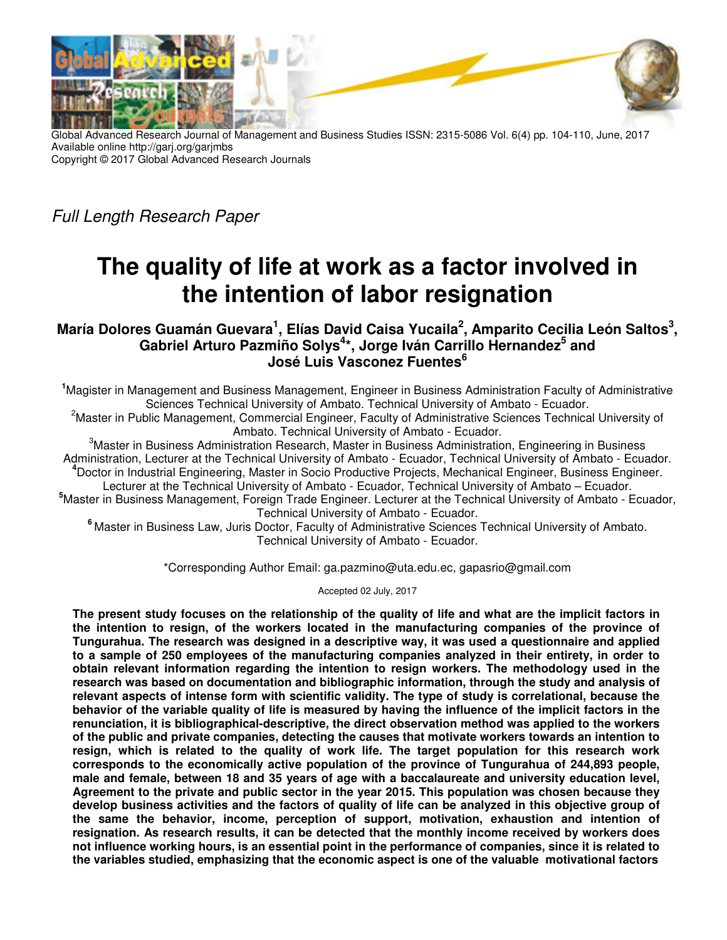

Global Advanced Research Journal of Management and Business Studies ISSN: 2315-5086 Vol. 6(4) pp. 104-110, June, 2017 Available online http://garj.org/garjmbs Copyright © 2017 Global Advanced Research Journals

Full Length Research Paper

# **The quality of life at work as a factor involved in the intention of labor resignation**

**María Dolores Guamán Guevara<sup>1</sup> , Elías David Caisa Yucaila<sup>2</sup> , Amparito Cecilia León Saltos<sup>3</sup> , Gabriel Arturo Pazmiño Solys<sup>4</sup> \*, Jorge Iván Carrillo Hernandez<sup>5</sup> and José Luis Vasconez Fuentes<sup>6</sup>**

**<sup>1</sup>**Magister in Management and Business Management, Engineer in Business Administration Faculty of Administrative Sciences Technical University of Ambato. Technical University of Ambato - Ecuador.

<sup>2</sup>Master in Public Management, Commercial Engineer, Faculty of Administrative Sciences Technical University of Ambato. Technical University of Ambato - Ecuador.

<sup>3</sup>Master in Business Administration Research, Master in Business Administration, Engineering in Business Administration, Lecturer at the Technical University of Ambato - Ecuador, Technical University of Ambato - Ecuador. **<sup>4</sup>**Doctor in Industrial Engineering, Master in Socio Productive Projects, Mechanical Engineer, Business Engineer. Lecturer at the Technical University of Ambato - Ecuador, Technical University of Ambato – Ecuador.

**<sup>5</sup>**Master in Business Management, Foreign Trade Engineer. Lecturer at the Technical University of Ambato - Ecuador, Technical University of Ambato - Ecuador.

**<sup>6</sup>** Master in Business Law, Juris Doctor, Faculty of Administrative Sciences Technical University of Ambato. Technical University of Ambato - Ecuador.

\*Corresponding Author Email: ga.pazmino@uta.edu.ec, gapasrio@gmail.com

Accepted 02 July, 2017

**The present study focuses on the relationship of the quality of life and what are the implicit factors in the intention to resign, of the workers located in the manufacturing companies of the province of Tungurahua. The research was designed in a descriptive way, it was used a questionnaire and applied to a sample of 250 employees of the manufacturing companies analyzed in their entirety, in order to obtain relevant information regarding the intention to resign workers. The methodology used in the research was based on documentation and bibliographic information, through the study and analysis of relevant aspects of intense form with scientific validity. The type of study is correlational, because the behavior of the variable quality of life is measured by having the influence of the implicit factors in the renunciation, it is bibliographical-descriptive, the direct observation method was applied to the workers of the public and private companies, detecting the causes that motivate workers towards an intention to resign, which is related to the quality of work life. The target population for this research work corresponds to the economically active population of the province of Tungurahua of 244,893 people, male and female, between 18 and 35 years of age with a baccalaureate and university education level, Agreement to the private and public sector in the year 2015. This population was chosen because they develop business activities and the factors of quality of life can be analyzed in this objective group of the same the behavior, income, perception of support, motivation, exhaustion and intention of resignation. As research results, it can be detected that the monthly income received by workers does not influence working hours, is an essential point in the performance of companies, since it is related to the variables studied, emphasizing that the economic aspect is one of the valuable motivational factors**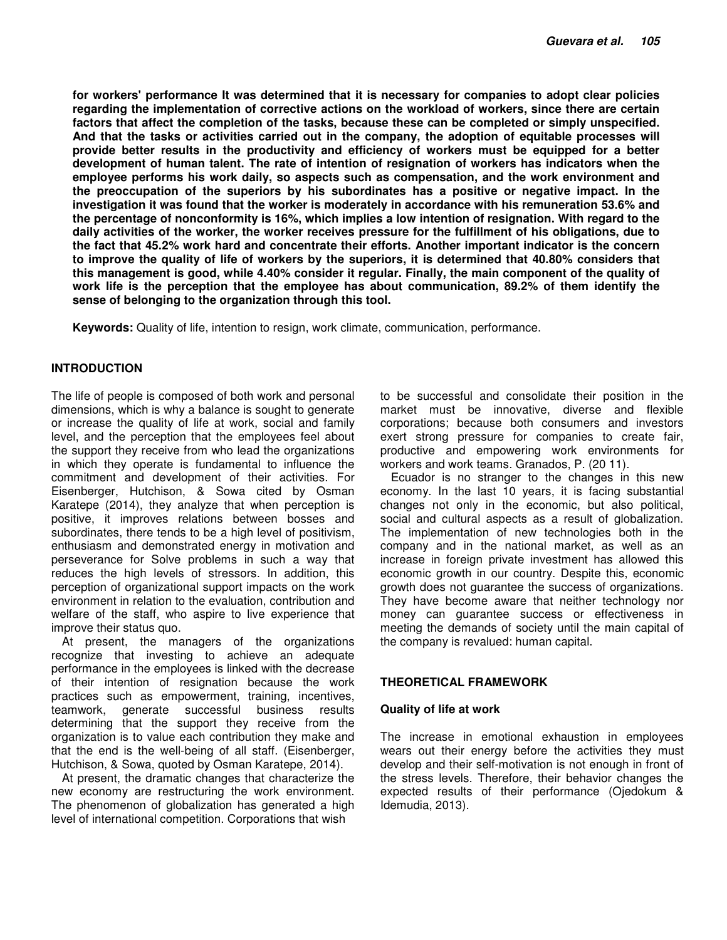**for workers' performance It was determined that it is necessary for companies to adopt clear policies regarding the implementation of corrective actions on the workload of workers, since there are certain factors that affect the completion of the tasks, because these can be completed or simply unspecified. And that the tasks or activities carried out in the company, the adoption of equitable processes will provide better results in the productivity and efficiency of workers must be equipped for a better development of human talent. The rate of intention of resignation of workers has indicators when the employee performs his work daily, so aspects such as compensation, and the work environment and the preoccupation of the superiors by his subordinates has a positive or negative impact. In the investigation it was found that the worker is moderately in accordance with his remuneration 53.6% and the percentage of nonconformity is 16%, which implies a low intention of resignation. With regard to the daily activities of the worker, the worker receives pressure for the fulfillment of his obligations, due to the fact that 45.2% work hard and concentrate their efforts. Another important indicator is the concern to improve the quality of life of workers by the superiors, it is determined that 40.80% considers that this management is good, while 4.40% consider it regular. Finally, the main component of the quality of work life is the perception that the employee has about communication, 89.2% of them identify the sense of belonging to the organization through this tool.** 

**Keywords:** Quality of life, intention to resign, work climate, communication, performance.

# **INTRODUCTION**

The life of people is composed of both work and personal dimensions, which is why a balance is sought to generate or increase the quality of life at work, social and family level, and the perception that the employees feel about the support they receive from who lead the organizations in which they operate is fundamental to influence the commitment and development of their activities. For Eisenberger, Hutchison, & Sowa cited by Osman Karatepe (2014), they analyze that when perception is positive, it improves relations between bosses and subordinates, there tends to be a high level of positivism, enthusiasm and demonstrated energy in motivation and perseverance for Solve problems in such a way that reduces the high levels of stressors. In addition, this perception of organizational support impacts on the work environment in relation to the evaluation, contribution and welfare of the staff, who aspire to live experience that improve their status quo.

At present, the managers of the organizations recognize that investing to achieve an adequate performance in the employees is linked with the decrease of their intention of resignation because the work practices such as empowerment, training, incentives, teamwork, generate successful business results determining that the support they receive from the organization is to value each contribution they make and that the end is the well-being of all staff. (Eisenberger, Hutchison, & Sowa, quoted by Osman Karatepe, 2014).

At present, the dramatic changes that characterize the new economy are restructuring the work environment. The phenomenon of globalization has generated a high level of international competition. Corporations that wish

to be successful and consolidate their position in the market must be innovative, diverse and flexible corporations; because both consumers and investors exert strong pressure for companies to create fair, productive and empowering work environments for workers and work teams. Granados, P. (20 11).

Ecuador is no stranger to the changes in this new economy. In the last 10 years, it is facing substantial changes not only in the economic, but also political, social and cultural aspects as a result of globalization. The implementation of new technologies both in the company and in the national market, as well as an increase in foreign private investment has allowed this economic growth in our country. Despite this, economic growth does not guarantee the success of organizations. They have become aware that neither technology nor money can guarantee success or effectiveness in meeting the demands of society until the main capital of the company is revalued: human capital.

## **THEORETICAL FRAMEWORK**

## **Quality of life at work**

The increase in emotional exhaustion in employees wears out their energy before the activities they must develop and their self-motivation is not enough in front of the stress levels. Therefore, their behavior changes the expected results of their performance (Ojedokum & Idemudia, 2013).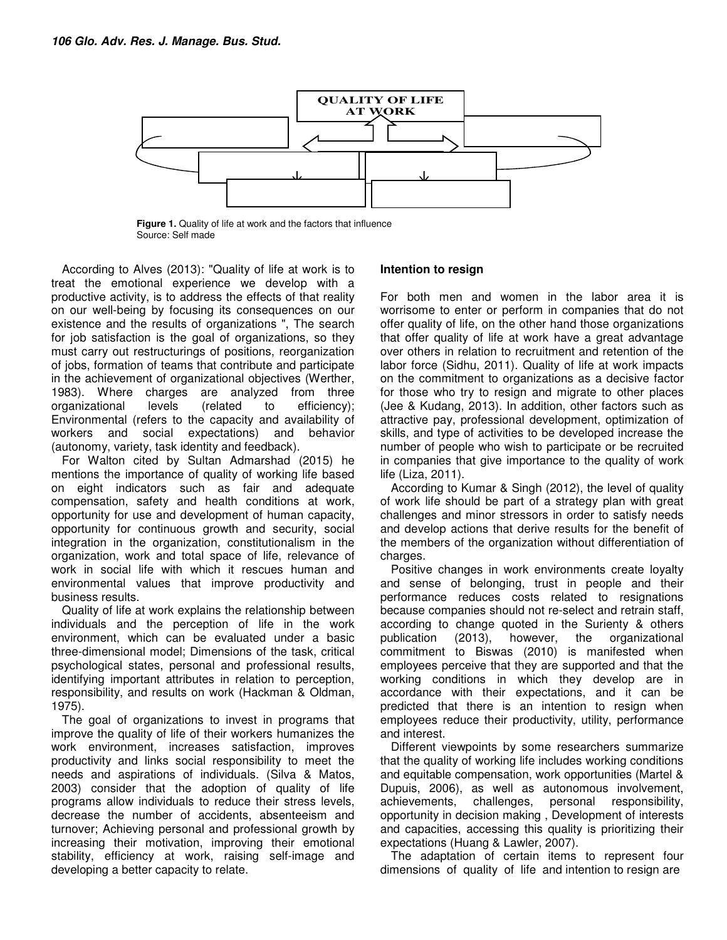

**Figure 1.** Quality of life at work and the factors that influence Source: Self made

According to Alves (2013): "Quality of life at work is to treat the emotional experience we develop with a productive activity, is to address the effects of that reality on our well-being by focusing its consequences on our existence and the results of organizations ", The search for job satisfaction is the goal of organizations, so they must carry out restructurings of positions, reorganization of jobs, formation of teams that contribute and participate in the achievement of organizational objectives (Werther, 1983). Where charges are analyzed from three<br>organizational levels (related to efficiencv): organizational levels (related to efficiency); Environmental (refers to the capacity and availability of workers and social expectations) and behavior (autonomy, variety, task identity and feedback).

For Walton cited by Sultan Admarshad (2015) he mentions the importance of quality of working life based on eight indicators such as fair and adequate compensation, safety and health conditions at work, opportunity for use and development of human capacity, opportunity for continuous growth and security, social integration in the organization, constitutionalism in the organization, work and total space of life, relevance of work in social life with which it rescues human and environmental values that improve productivity and business results.

Quality of life at work explains the relationship between individuals and the perception of life in the work environment, which can be evaluated under a basic three-dimensional model; Dimensions of the task, critical psychological states, personal and professional results, identifying important attributes in relation to perception, responsibility, and results on work (Hackman & Oldman, 1975).

The goal of organizations to invest in programs that improve the quality of life of their workers humanizes the work environment, increases satisfaction, improves productivity and links social responsibility to meet the needs and aspirations of individuals. (Silva & Matos, 2003) consider that the adoption of quality of life programs allow individuals to reduce their stress levels, decrease the number of accidents, absenteeism and turnover; Achieving personal and professional growth by increasing their motivation, improving their emotional stability, efficiency at work, raising self-image and developing a better capacity to relate.

## **Intention to resign**

For both men and women in the labor area it is worrisome to enter or perform in companies that do not offer quality of life, on the other hand those organizations that offer quality of life at work have a great advantage over others in relation to recruitment and retention of the labor force (Sidhu, 2011). Quality of life at work impacts on the commitment to organizations as a decisive factor for those who try to resign and migrate to other places (Jee & Kudang, 2013). In addition, other factors such as attractive pay, professional development, optimization of skills, and type of activities to be developed increase the number of people who wish to participate or be recruited in companies that give importance to the quality of work life (Liza, 2011).

According to Kumar & Singh (2012), the level of quality of work life should be part of a strategy plan with great challenges and minor stressors in order to satisfy needs and develop actions that derive results for the benefit of the members of the organization without differentiation of charges.

Positive changes in work environments create loyalty and sense of belonging, trust in people and their performance reduces costs related to resignations because companies should not re-select and retrain staff, according to change quoted in the Surienty & others publication (2013), however, the organizational commitment to Biswas (2010) is manifested when employees perceive that they are supported and that the working conditions in which they develop are in accordance with their expectations, and it can be predicted that there is an intention to resign when employees reduce their productivity, utility, performance and interest.

Different viewpoints by some researchers summarize that the quality of working life includes working conditions and equitable compensation, work opportunities (Martel & Dupuis, 2006), as well as autonomous involvement, achievements, challenges, personal responsibility, opportunity in decision making , Development of interests and capacities, accessing this quality is prioritizing their expectations (Huang & Lawler, 2007).

The adaptation of certain items to represent four dimensions of quality of life and intention to resign are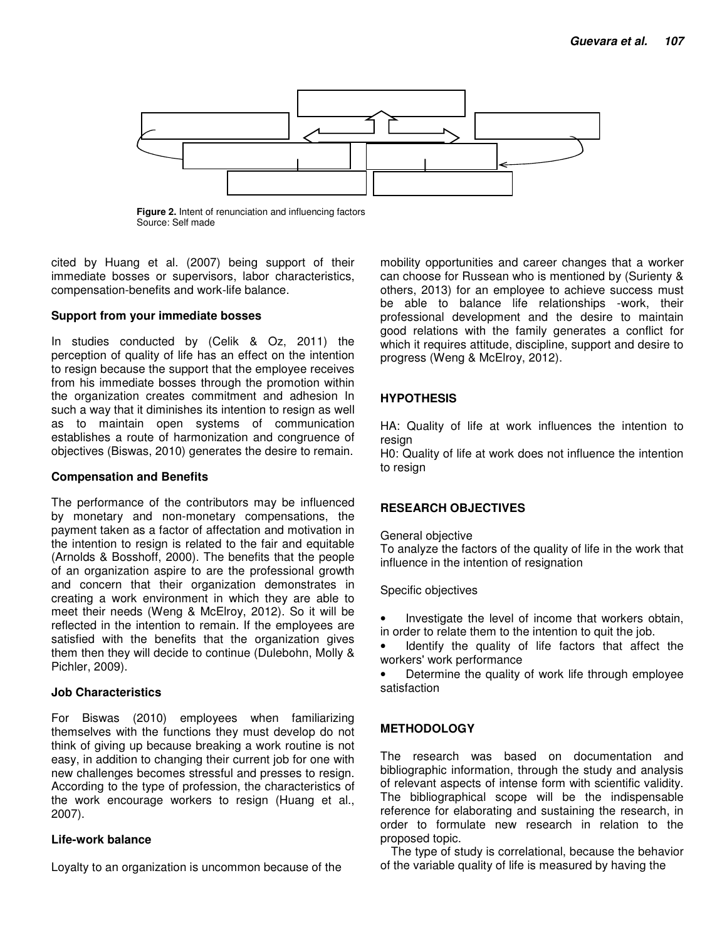

**Figure 2.** Intent of renunciation and influencing factors Source: Self made

cited by Huang et al. (2007) being support of their immediate bosses or supervisors, labor characteristics, compensation-benefits and work-life balance.

# **Support from your immediate bosses**

In studies conducted by (Celik & Oz, 2011) the perception of quality of life has an effect on the intention to resign because the support that the employee receives from his immediate bosses through the promotion within the organization creates commitment and adhesion In such a way that it diminishes its intention to resign as well as to maintain open systems of communication establishes a route of harmonization and congruence of objectives (Biswas, 2010) generates the desire to remain.

# **Compensation and Benefits**

The performance of the contributors may be influenced by monetary and non-monetary compensations, the payment taken as a factor of affectation and motivation in the intention to resign is related to the fair and equitable (Arnolds & Bosshoff, 2000). The benefits that the people of an organization aspire to are the professional growth and concern that their organization demonstrates in creating a work environment in which they are able to meet their needs (Weng & McElroy, 2012). So it will be reflected in the intention to remain. If the employees are satisfied with the benefits that the organization gives them then they will decide to continue (Dulebohn, Molly & Pichler, 2009).

# **Job Characteristics**

For Biswas (2010) employees when familiarizing themselves with the functions they must develop do not think of giving up because breaking a work routine is not easy, in addition to changing their current job for one with new challenges becomes stressful and presses to resign. According to the type of profession, the characteristics of the work encourage workers to resign (Huang et al., 2007).

# **Life-work balance**

Loyalty to an organization is uncommon because of the

mobility opportunities and career changes that a worker can choose for Russean who is mentioned by (Surienty & others, 2013) for an employee to achieve success must be able to balance life relationships -work, their professional development and the desire to maintain good relations with the family generates a conflict for which it requires attitude, discipline, support and desire to progress (Weng & McElroy, 2012).

# **HYPOTHESIS**

HA: Quality of life at work influences the intention to resian

H0: Quality of life at work does not influence the intention to resign

# **RESEARCH OBJECTIVES**

General objective

To analyze the factors of the quality of life in the work that influence in the intention of resignation

Specific objectives

- Investigate the level of income that workers obtain, in order to relate them to the intention to quit the job.
- Identify the quality of life factors that affect the workers' work performance
- Determine the quality of work life through employee satisfaction

# **METHODOLOGY**

The research was based on documentation and bibliographic information, through the study and analysis of relevant aspects of intense form with scientific validity. The bibliographical scope will be the indispensable reference for elaborating and sustaining the research, in order to formulate new research in relation to the proposed topic.

The type of study is correlational, because the behavior of the variable quality of life is measured by having the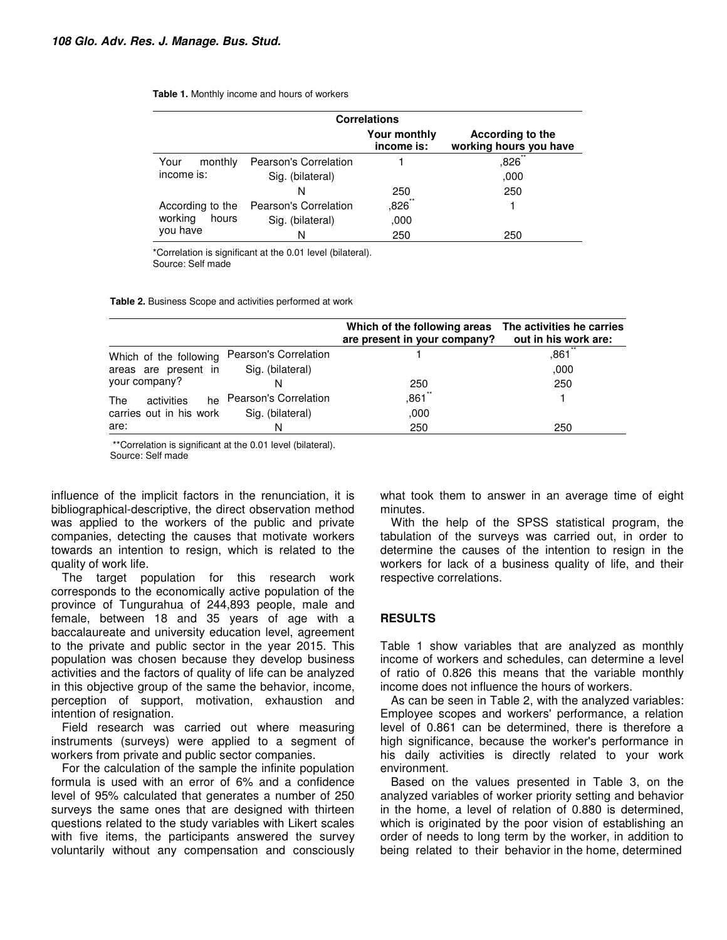#### **Table 1.** Monthly income and hours of workers

| <b>Correlations</b>                              |                              |                            |                                            |  |  |
|--------------------------------------------------|------------------------------|----------------------------|--------------------------------------------|--|--|
|                                                  |                              | Your monthly<br>income is: | According to the<br>working hours you have |  |  |
| Your<br>monthly                                  | <b>Pearson's Correlation</b> |                            | ,826                                       |  |  |
| income is:                                       | Sig. (bilateral)             |                            | ,000                                       |  |  |
|                                                  | N                            | 250                        | 250                                        |  |  |
| According to the<br>working<br>hours<br>you have | Pearson's Correlation        | $,826$ **                  |                                            |  |  |
|                                                  | Sig. (bilateral)             | ,000                       |                                            |  |  |
|                                                  | N                            | 250                        | 250                                        |  |  |

\*Correlation is significant at the 0.01 level (bilateral). Source: Self made

**Table 2.** Business Scope and activities performed at work

|                         |                          | Which of the following areas<br>are present in your company? | The activities he carries<br>out in his work are: |
|-------------------------|--------------------------|--------------------------------------------------------------|---------------------------------------------------|
| Which of the following  | Pearson's Correlation    |                                                              | ,861                                              |
| areas are present in    | Sig. (bilateral)         |                                                              | ,000                                              |
| your company?           |                          | 250                                                          | 250                                               |
| The<br>activities       | he Pearson's Correlation | ,861                                                         |                                                   |
| carries out in his work | Sig. (bilateral)         | ,000                                                         |                                                   |
| are:                    | N                        | 250                                                          | 250                                               |

 \*\*Correlation is significant at the 0.01 level (bilateral). Source: Self made

influence of the implicit factors in the renunciation, it is bibliographical-descriptive, the direct observation method was applied to the workers of the public and private companies, detecting the causes that motivate workers towards an intention to resign, which is related to the quality of work life.

The target population for this research work corresponds to the economically active population of the province of Tungurahua of 244,893 people, male and female, between 18 and 35 years of age with a baccalaureate and university education level, agreement to the private and public sector in the year 2015. This population was chosen because they develop business activities and the factors of quality of life can be analyzed in this objective group of the same the behavior, income, perception of support, motivation, exhaustion and intention of resignation.

Field research was carried out where measuring instruments (surveys) were applied to a segment of workers from private and public sector companies.

For the calculation of the sample the infinite population formula is used with an error of 6% and a confidence level of 95% calculated that generates a number of 250 surveys the same ones that are designed with thirteen questions related to the study variables with Likert scales with five items, the participants answered the survey voluntarily without any compensation and consciously what took them to answer in an average time of eight minutes.

With the help of the SPSS statistical program, the tabulation of the surveys was carried out, in order to determine the causes of the intention to resign in the workers for lack of a business quality of life, and their respective correlations.

# **RESULTS**

Table 1 show variables that are analyzed as monthly income of workers and schedules, can determine a level of ratio of 0.826 this means that the variable monthly income does not influence the hours of workers.

As can be seen in Table 2, with the analyzed variables: Employee scopes and workers' performance, a relation level of 0.861 can be determined, there is therefore a high significance, because the worker's performance in his daily activities is directly related to your work environment.

Based on the values presented in Table 3, on the analyzed variables of worker priority setting and behavior in the home, a level of relation of 0.880 is determined, which is originated by the poor vision of establishing an order of needs to long term by the worker, in addition to being related to their behavior in the home, determined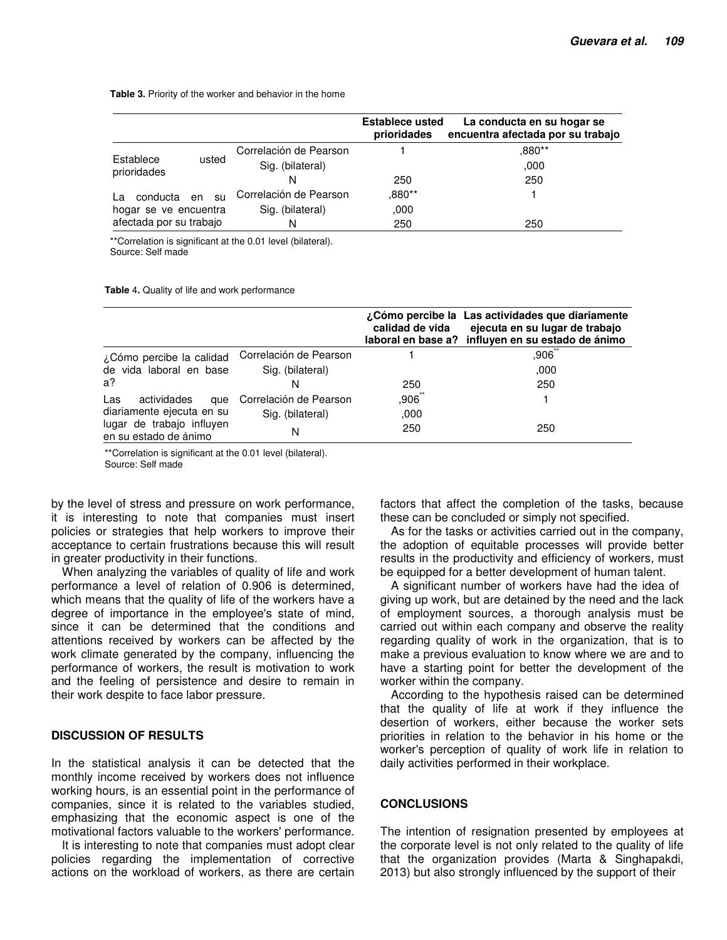**Table 3.** Priority of the worker and behavior in the home

|                                                  |          |                        | <b>Establece usted</b><br>prioridades | La conducta en su hogar se<br>encuentra afectada por su trabajo |
|--------------------------------------------------|----------|------------------------|---------------------------------------|-----------------------------------------------------------------|
| Establece<br>usted<br>prioridades                |          | Correlación de Pearson |                                       | .880**                                                          |
|                                                  |          | Sig. (bilateral)       |                                       | .000                                                            |
|                                                  |          | N                      | 250                                   | 250                                                             |
| conducta<br>Iа                                   | en<br>su | Correlación de Pearson | .880**                                |                                                                 |
| hogar se ve encuentra<br>afectada por su trabajo |          | Sig. (bilateral)       | ,000                                  |                                                                 |
|                                                  |          | N                      | 250                                   | 250                                                             |

\*\*Correlation is significant at the 0.01 level (bilateral). Source: Self made

**Table** 4**.** Quality of life and work performance

|                                                    |                        | calidad de vida | ¿Cómo percibe la Las actividades que diariamente<br>ejecuta en su lugar de trabajo<br>laboral en base a? influyen en su estado de ánimo |
|----------------------------------------------------|------------------------|-----------------|-----------------------------------------------------------------------------------------------------------------------------------------|
| ¿Cómo percibe la calidad                           | Correlación de Pearson |                 | ,906                                                                                                                                    |
| de vida laboral en base                            | Sig. (bilateral)       |                 | ,000                                                                                                                                    |
| $a$ ?                                              | N                      | 250             | 250                                                                                                                                     |
| actividades<br>Las<br>que                          | Correlación de Pearson | $,906$ **       |                                                                                                                                         |
| diariamente ejecuta en su                          | Sig. (bilateral)       | ,000            |                                                                                                                                         |
| lugar de trabajo influyen<br>en su estado de ánimo | N                      | 250             | 250                                                                                                                                     |

\*\*Correlation is significant at the 0.01 level (bilateral). Source: Self made

by the level of stress and pressure on work performance, it is interesting to note that companies must insert policies or strategies that help workers to improve their acceptance to certain frustrations because this will result in greater productivity in their functions.

When analyzing the variables of quality of life and work performance a level of relation of 0.906 is determined, which means that the quality of life of the workers have a degree of importance in the employee's state of mind, since it can be determined that the conditions and attentions received by workers can be affected by the work climate generated by the company, influencing the performance of workers, the result is motivation to work and the feeling of persistence and desire to remain in their work despite to face labor pressure.

# **DISCUSSION OF RESULTS**

In the statistical analysis it can be detected that the monthly income received by workers does not influence working hours, is an essential point in the performance of companies, since it is related to the variables studied, emphasizing that the economic aspect is one of the motivational factors valuable to the workers' performance.

It is interesting to note that companies must adopt clear policies regarding the implementation of corrective actions on the workload of workers, as there are certain factors that affect the completion of the tasks, because these can be concluded or simply not specified.

As for the tasks or activities carried out in the company, the adoption of equitable processes will provide better results in the productivity and efficiency of workers, must be equipped for a better development of human talent.

A significant number of workers have had the idea of giving up work, but are detained by the need and the lack of employment sources, a thorough analysis must be carried out within each company and observe the reality regarding quality of work in the organization, that is to make a previous evaluation to know where we are and to have a starting point for better the development of the worker within the company.

According to the hypothesis raised can be determined that the quality of life at work if they influence the desertion of workers, either because the worker sets priorities in relation to the behavior in his home or the worker's perception of quality of work life in relation to daily activities performed in their workplace.

# **CONCLUSIONS**

The intention of resignation presented by employees at the corporate level is not only related to the quality of life that the organization provides (Marta & Singhapakdi, 2013) but also strongly influenced by the support of their